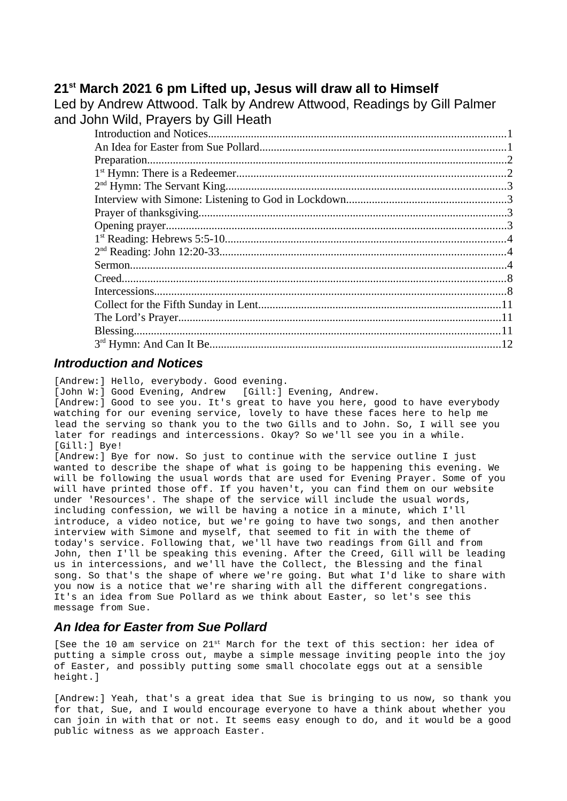# **21st March 2021 6 pm Lifted up, Jesus will draw all to Himself**

Led by Andrew Attwood. Talk by Andrew Attwood, Readings by Gill Palmer and John Wild, Prayers by Gill Heath

# <span id="page-0-1"></span>*Introduction and Notices*

[Andrew: ] Hello, everybody, Good evening, [John W:] Good Evening, Andrew [Gill:] Evening, Andrew. [Andrew:] Good to see you. It's great to have you here, good to have everybody watching for our evening service, lovely to have these faces here to help me

lead the serving so thank you to the two Gills and to John. So, I will see you later for readings and intercessions. Okay? So we'll see you in a while. [Gill:] Bye!

[Andrew:] Bye for now. So just to continue with the service outline I just wanted to describe the shape of what is going to be happening this evening. We will be following the usual words that are used for Evening Prayer. Some of you will have printed those off. If you haven't, you can find them on our website under 'Resources'. The shape of the service will include the usual words, including confession, we will be having a notice in a minute, which I'll introduce, a video notice, but we're going to have two songs, and then another interview with Simone and myself, that seemed to fit in with the theme of today's service. Following that, we'll have two readings from Gill and from John, then I'll be speaking this evening. After the Creed, Gill will be leading us in intercessions, and we'll have the Collect, the Blessing and the final song. So that's the shape of where we're going. But what I'd like to share with you now is a notice that we're sharing with all the different congregations. It's an idea from Sue Pollard as we think about Easter, so let's see this message from Sue.

# <span id="page-0-0"></span>*An Idea for Easter from Sue Pollard*

[See the 10 am service on 21st March for the text of this section: her idea of putting a simple cross out, maybe a simple message inviting people into the joy of Easter, and possibly putting some small chocolate eggs out at a sensible height.]

[Andrew:] Yeah, that's a great idea that Sue is bringing to us now, so thank you for that, Sue, and I would encourage everyone to have a think about whether you can join in with that or not. It seems easy enough to do, and it would be a good public witness as we approach Easter.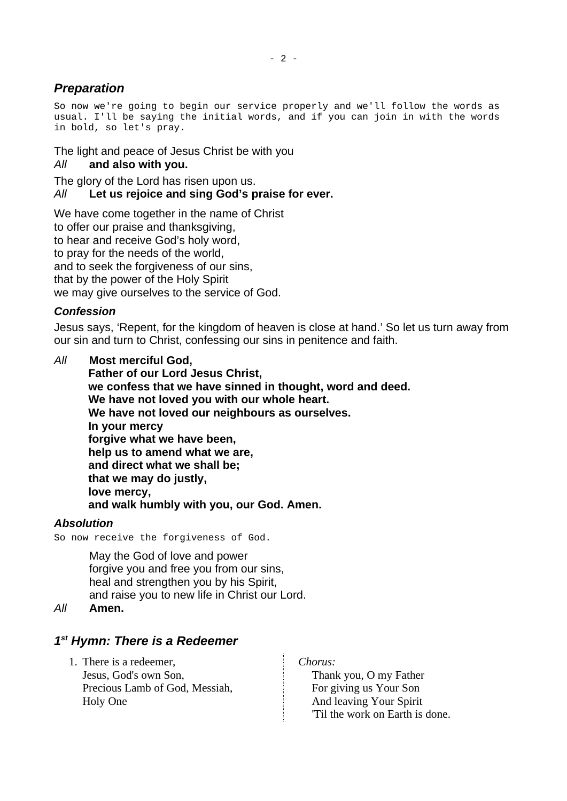# <span id="page-1-1"></span>*Preparation*

So now we're going to begin our service properly and we'll follow the words as usual. I'll be saying the initial words, and if you can join in with the words in bold, so let's pray.

The light and peace of Jesus Christ be with you

# *All* **and also with you.**

The glory of the Lord has risen upon us.

# *All* **Let us rejoice and sing God's praise for ever.**

We have come together in the name of Christ to offer our praise and thanksgiving, to hear and receive God's holy word, to pray for the needs of the world, and to seek the forgiveness of our sins, that by the power of the Holy Spirit we may give ourselves to the service of God.

# *Confession*

Jesus says, 'Repent, for the kingdom of heaven is close at hand.' So let us turn away from our sin and turn to Christ, confessing our sins in penitence and faith.

## *All* **Most merciful God,**

**Father of our Lord Jesus Christ, we confess that we have sinned in thought, word and deed. We have not loved you with our whole heart. We have not loved our neighbours as ourselves. In your mercy forgive what we have been, help us to amend what we are, and direct what we shall be; that we may do justly, love mercy, and walk humbly with you, our God. Amen.**

## *Absolution*

So now receive the forgiveness of God.

May the God of love and power forgive you and free you from our sins, heal and strengthen you by his Spirit, and raise you to new life in Christ our Lord.

*All* **Amen.**

# <span id="page-1-0"></span>*1 st Hymn: There is a Redeemer*

1. There is a redeemer, Jesus, God's own Son, Precious Lamb of God, Messiah, Holy One *Chorus:* Thank you, O my Father For giving us Your Son And leaving Your Spirit 'Til the work on Earth is done.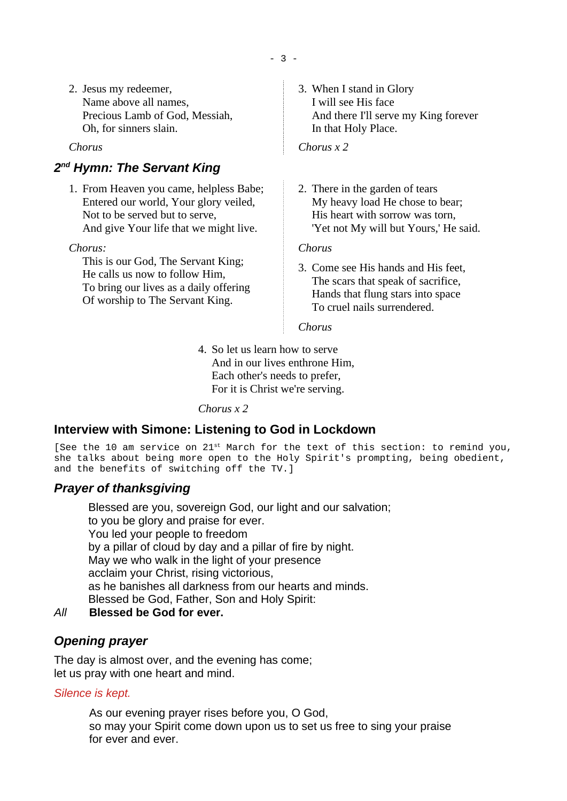2. Jesus my redeemer, Name above all names, Precious Lamb of God, Messiah, Oh, for sinners slain.

## *Chorus*

# <span id="page-2-3"></span>*2 nd Hymn: The Servant King*

1. From Heaven you came, helpless Babe; Entered our world, Your glory veiled, Not to be served but to serve, And give Your life that we might live.

### *Chorus:*

This is our God, The Servant King; He calls us now to follow Him, To bring our lives as a daily offering Of worship to The Servant King.

3. When I stand in Glory I will see His face And there I'll serve my King forever In that Holy Place.

*Chorus x 2*

2. There in the garden of tears My heavy load He chose to bear; His heart with sorrow was torn, 'Yet not My will but Yours,' He said.

### *Chorus*

3. Come see His hands and His feet, The scars that speak of sacrifice, Hands that flung stars into space To cruel nails surrendered.

### *Chorus*

4. So let us learn how to serve And in our lives enthrone Him, Each other's needs to prefer, For it is Christ we're serving.

*Chorus x 2*

# <span id="page-2-2"></span>**Interview with Simone: Listening to God in Lockdown**

[See the 10 am service on 21<sup>st</sup> March for the text of this section: to remind you, she talks about being more open to the Holy Spirit's prompting, being obedient, and the benefits of switching off the TV.]

# <span id="page-2-1"></span>*Prayer of thanksgiving*

Blessed are you, sovereign God, our light and our salvation; to you be glory and praise for ever. You led your people to freedom by a pillar of cloud by day and a pillar of fire by night. May we who walk in the light of your presence acclaim your Christ, rising victorious, as he banishes all darkness from our hearts and minds. Blessed be God, Father, Son and Holy Spirit:

# *All* **Blessed be God for ever.**

# <span id="page-2-0"></span>*Opening prayer*

The day is almost over, and the evening has come; let us pray with one heart and mind.

*Silence is kept.*

As our evening prayer rises before you, O God,

so may your Spirit come down upon us to set us free to sing your praise for ever and ever.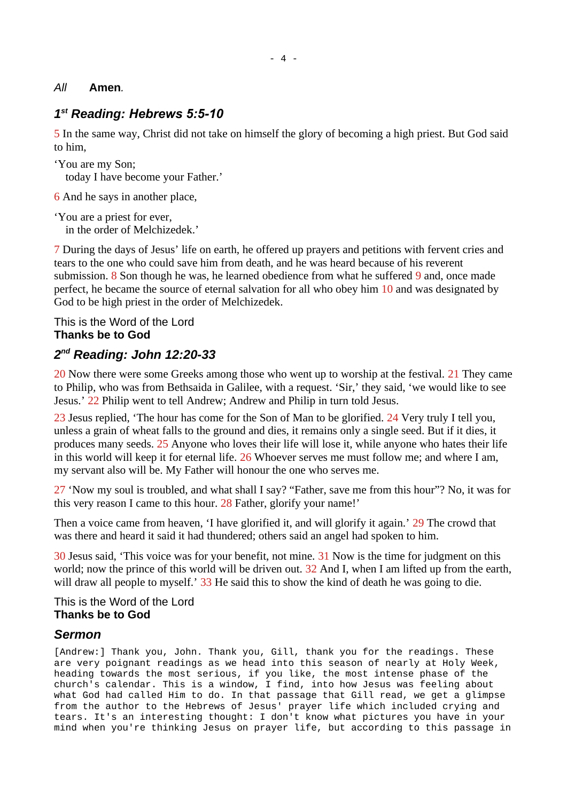## *All* **Amen***.*

# <span id="page-3-2"></span>*1 st Reading: Hebrews 5:5-10*

5 In the same way, Christ did not take on himself the glory of becoming a high priest. But God said to him,

'You are my Son; today I have become your Father.'

6 And he says in another place,

'You are a priest for ever, in the order of Melchizedek.'

7 During the days of Jesus' life on earth, he offered up prayers and petitions with fervent cries and tears to the one who could save him from death, and he was heard because of his reverent submission. 8 Son though he was, he learned obedience from what he suffered 9 and, once made perfect, he became the source of eternal salvation for all who obey him 10 and was designated by God to be high priest in the order of Melchizedek.

This is the Word of the Lord **Thanks be to God**

# <span id="page-3-1"></span>*2 nd Reading: John 12:20-33*

20 Now there were some Greeks among those who went up to worship at the festival. 21 They came to Philip, who was from Bethsaida in Galilee, with a request. 'Sir,' they said, 'we would like to see Jesus.' 22 Philip went to tell Andrew; Andrew and Philip in turn told Jesus.

23 Jesus replied, 'The hour has come for the Son of Man to be glorified. 24 Very truly I tell you, unless a grain of wheat falls to the ground and dies, it remains only a single seed. But if it dies, it produces many seeds. 25 Anyone who loves their life will lose it, while anyone who hates their life in this world will keep it for eternal life. 26 Whoever serves me must follow me; and where I am, my servant also will be. My Father will honour the one who serves me.

27 'Now my soul is troubled, and what shall I say? "Father, save me from this hour"? No, it was for this very reason I came to this hour. 28 Father, glorify your name!'

Then a voice came from heaven, 'I have glorified it, and will glorify it again.' 29 The crowd that was there and heard it said it had thundered; others said an angel had spoken to him.

30 Jesus said, 'This voice was for your benefit, not mine. 31 Now is the time for judgment on this world; now the prince of this world will be driven out. 32 And I, when I am lifted up from the earth, will draw all people to myself.' 33 He said this to show the kind of death he was going to die.

This is the Word of the Lord **Thanks be to God**

# <span id="page-3-0"></span>*Sermon*

[Andrew:] Thank you, John. Thank you, Gill, thank you for the readings. These are very poignant readings as we head into this season of nearly at Holy Week, heading towards the most serious, if you like, the most intense phase of the church's calendar. This is a window, I find, into how Jesus was feeling about what God had called Him to do. In that passage that Gill read, we get a glimpse from the author to the Hebrews of Jesus' prayer life which included crying and tears. It's an interesting thought: I don't know what pictures you have in your mind when you're thinking Jesus on prayer life, but according to this passage in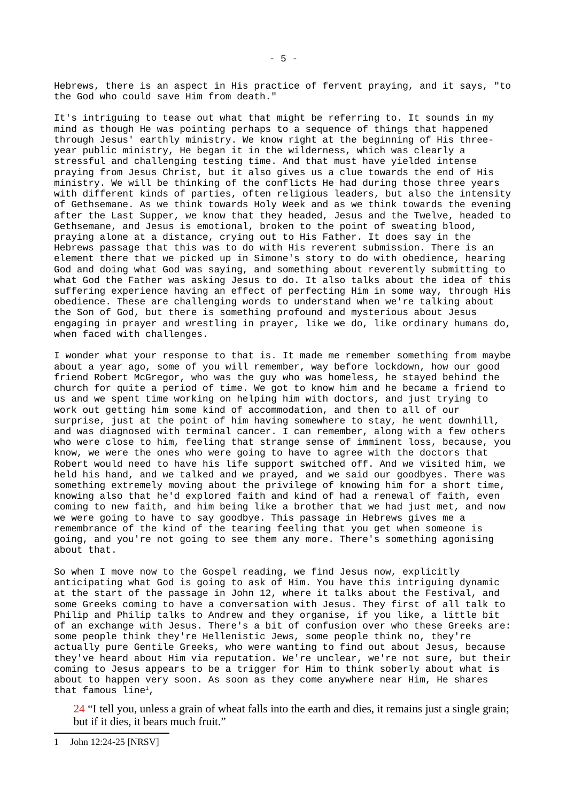Hebrews, there is an aspect in His practice of fervent praying, and it says, "to the God who could save Him from death."

It's intriguing to tease out what that might be referring to. It sounds in my mind as though He was pointing perhaps to a sequence of things that happened through Jesus' earthly ministry. We know right at the beginning of His threeyear public ministry, He began it in the wilderness, which was clearly a stressful and challenging testing time. And that must have yielded intense praying from Jesus Christ, but it also gives us a clue towards the end of His ministry. We will be thinking of the conflicts He had during those three years with different kinds of parties, often religious leaders, but also the intensity of Gethsemane. As we think towards Holy Week and as we think towards the evening after the Last Supper, we know that they headed, Jesus and the Twelve, headed to Gethsemane, and Jesus is emotional, broken to the point of sweating blood, praying alone at a distance, crying out to His Father. It does say in the Hebrews passage that this was to do with His reverent submission. There is an element there that we picked up in Simone's story to do with obedience, hearing God and doing what God was saying, and something about reverently submitting to what God the Father was asking Jesus to do. It also talks about the idea of this suffering experience having an effect of perfecting Him in some way, through His obedience. These are challenging words to understand when we're talking about the Son of God, but there is something profound and mysterious about Jesus engaging in prayer and wrestling in prayer, like we do, like ordinary humans do, when faced with challenges.

I wonder what your response to that is. It made me remember something from maybe about a year ago, some of you will remember, way before lockdown, how our good friend Robert McGregor, who was the guy who was homeless, he stayed behind the church for quite a period of time. We got to know him and he became a friend to us and we spent time working on helping him with doctors, and just trying to work out getting him some kind of accommodation, and then to all of our surprise, just at the point of him having somewhere to stay, he went downhill, and was diagnosed with terminal cancer. I can remember, along with a few others who were close to him, feeling that strange sense of imminent loss, because, you know, we were the ones who were going to have to agree with the doctors that Robert would need to have his life support switched off. And we visited him, we held his hand, and we talked and we prayed, and we said our goodbyes. There was something extremely moving about the privilege of knowing him for a short time, knowing also that he'd explored faith and kind of had a renewal of faith, even coming to new faith, and him being like a brother that we had just met, and now we were going to have to say goodbye. This passage in Hebrews gives me a remembrance of the kind of the tearing feeling that you get when someone is going, and you're not going to see them any more. There's something agonising about that.

So when I move now to the Gospel reading, we find Jesus now, explicitly anticipating what God is going to ask of Him. You have this intriguing dynamic at the start of the passage in John 12, where it talks about the Festival, and some Greeks coming to have a conversation with Jesus. They first of all talk to Philip and Philip talks to Andrew and they organise, if you like, a little bit of an exchange with Jesus. There's a bit of confusion over who these Greeks are: some people think they're Hellenistic Jews, some people think no, they're actually pure Gentile Greeks, who were wanting to find out about Jesus, because they've heard about Him via reputation. We're unclear, we're not sure, but their coming to Jesus appears to be a trigger for Him to think soberly about what is about to happen very soon. As soon as they come anywhere near Him, He shares that famous  $line<sup>1</sup>$  $line<sup>1</sup>$  $line<sup>1</sup>$ ,

24 "I tell you, unless a grain of wheat falls into the earth and dies, it remains just a single grain; but if it dies, it bears much fruit."

<span id="page-4-0"></span><sup>1</sup> John 12:24-25 [NRSV]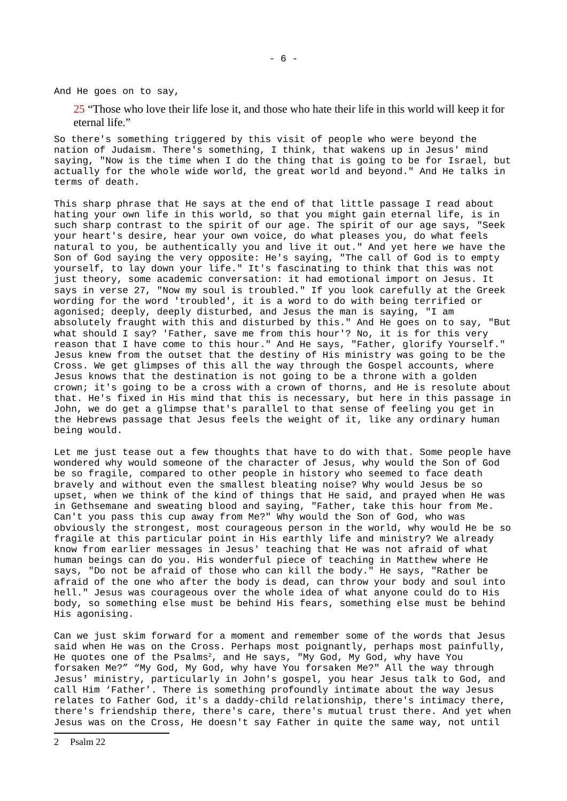And He goes on to say,

25 "Those who love their life lose it, and those who hate their life in this world will keep it for eternal life."

So there's something triggered by this visit of people who were beyond the nation of Judaism. There's something, I think, that wakens up in Jesus' mind saying, "Now is the time when I do the thing that is going to be for Israel, but actually for the whole wide world, the great world and beyond." And He talks in terms of death.

This sharp phrase that He says at the end of that little passage I read about hating your own life in this world, so that you might gain eternal life, is in such sharp contrast to the spirit of our age. The spirit of our age says, "Seek your heart's desire, hear your own voice, do what pleases you, do what feels natural to you, be authentically you and live it out." And yet here we have the Son of God saying the very opposite: He's saying, "The call of God is to empty yourself, to lay down your life." It's fascinating to think that this was not just theory, some academic conversation: it had emotional import on Jesus. It says in verse 27, "Now my soul is troubled." If you look carefully at the Greek wording for the word 'troubled', it is a word to do with being terrified or agonised; deeply, deeply disturbed, and Jesus the man is saying, "I am absolutely fraught with this and disturbed by this." And He goes on to say, "But what should I say? 'Father, save me from this hour'? No, it is for this very reason that I have come to this hour." And He says, "Father, glorify Yourself." Jesus knew from the outset that the destiny of His ministry was going to be the Cross. We get glimpses of this all the way through the Gospel accounts, where Jesus knows that the destination is not going to be a throne with a golden crown; it's going to be a cross with a crown of thorns, and He is resolute about that. He's fixed in His mind that this is necessary, but here in this passage in John, we do get a glimpse that's parallel to that sense of feeling you get in the Hebrews passage that Jesus feels the weight of it, like any ordinary human being would.

Let me just tease out a few thoughts that have to do with that. Some people have wondered why would someone of the character of Jesus, why would the Son of God be so fragile, compared to other people in history who seemed to face death bravely and without even the smallest bleating noise? Why would Jesus be so upset, when we think of the kind of things that He said, and prayed when He was in Gethsemane and sweating blood and saying, "Father, take this hour from Me. Can't you pass this cup away from Me?" Why would the Son of God, who was obviously the strongest, most courageous person in the world, why would He be so fragile at this particular point in His earthly life and ministry? We already know from earlier messages in Jesus' teaching that He was not afraid of what human beings can do you. His wonderful piece of teaching in Matthew where He says, "Do not be afraid of those who can kill the body." He says, "Rather be afraid of the one who after the body is dead, can throw your body and soul into hell." Jesus was courageous over the whole idea of what anyone could do to His body, so something else must be behind His fears, something else must be behind His agonising.

Can we just skim forward for a moment and remember some of the words that Jesus said when He was on the Cross. Perhaps most poignantly, perhaps most painfully, He quotes one of the Psalms<sup>[2](#page-5-0)</sup>, and He says, "My God, My God, why have You forsaken Me?" "My God, My God, why have You forsaken Me?" All the way through Jesus' ministry, particularly in John's gospel, you hear Jesus talk to God, and call Him 'Father'. There is something profoundly intimate about the way Jesus relates to Father God, it's a daddy-child relationship, there's intimacy there, there's friendship there, there's care, there's mutual trust there. And yet when Jesus was on the Cross, He doesn't say Father in quite the same way, not until

<span id="page-5-0"></span>2 Psalm 22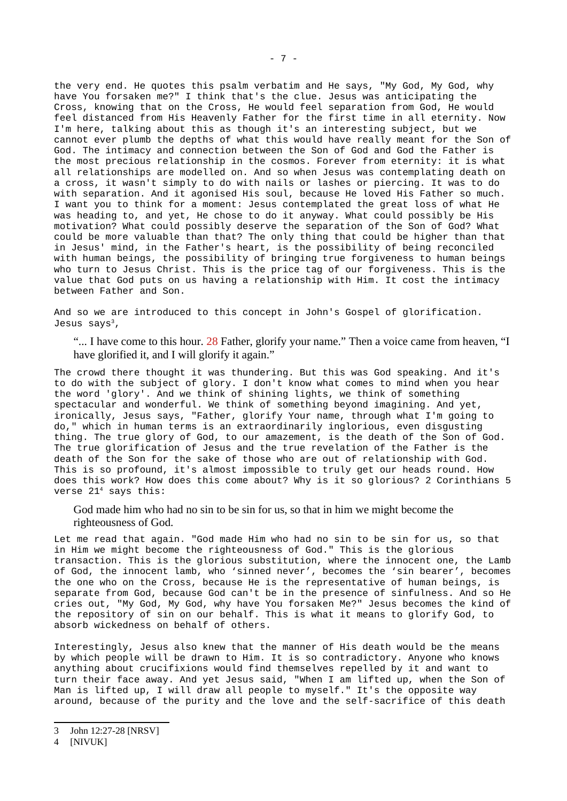the very end. He quotes this psalm verbatim and He says, "My God, My God, why have You forsaken me?" I think that's the clue. Jesus was anticipating the Cross, knowing that on the Cross, He would feel separation from God, He would feel distanced from His Heavenly Father for the first time in all eternity. Now I'm here, talking about this as though it's an interesting subject, but we cannot ever plumb the depths of what this would have really meant for the Son of God. The intimacy and connection between the Son of God and God the Father is the most precious relationship in the cosmos. Forever from eternity: it is what all relationships are modelled on. And so when Jesus was contemplating death on a cross, it wasn't simply to do with nails or lashes or piercing. It was to do with separation. And it agonised His soul, because He loved His Father so much. I want you to think for a moment: Jesus contemplated the great loss of what He was heading to, and yet, He chose to do it anyway. What could possibly be His motivation? What could possibly deserve the separation of the Son of God? What could be more valuable than that? The only thing that could be higher than that in Jesus' mind, in the Father's heart, is the possibility of being reconciled with human beings, the possibility of bringing true forgiveness to human beings who turn to Jesus Christ. This is the price tag of our forgiveness. This is the value that God puts on us having a relationship with Him. It cost the intimacy between Father and Son.

And so we are introduced to this concept in John's Gospel of glorification. Jesus says $3$ ,

"... I have come to this hour. 28 Father, glorify your name." Then a voice came from heaven, "I have glorified it, and I will glorify it again."

The crowd there thought it was thundering. But this was God speaking. And it's to do with the subject of glory. I don't know what comes to mind when you hear the word 'glory'. And we think of shining lights, we think of something spectacular and wonderful. We think of something beyond imagining. And yet, ironically, Jesus says, "Father, glorify Your name, through what I'm going to do," which in human terms is an extraordinarily inglorious, even disgusting thing. The true glory of God, to our amazement, is the death of the Son of God. The true glorification of Jesus and the true revelation of the Father is the death of the Son for the sake of those who are out of relationship with God. This is so profound, it's almost impossible to truly get our heads round. How does this work? How does this come about? Why is it so glorious? 2 Corinthians 5 verse 21[4](#page-6-1) says this:

God made him who had no sin to be sin for us, so that in him we might become the righteousness of God.

Let me read that again. "God made Him who had no sin to be sin for us, so that in Him we might become the righteousness of God." This is the glorious transaction. This is the glorious substitution, where the innocent one, the Lamb of God, the innocent lamb, who 'sinned never', becomes the 'sin bearer', becomes the one who on the Cross, because He is the representative of human beings, is separate from God, because God can't be in the presence of sinfulness. And so He cries out, "My God, My God, why have You forsaken Me?" Jesus becomes the kind of the repository of sin on our behalf. This is what it means to glorify God, to absorb wickedness on behalf of others.

Interestingly, Jesus also knew that the manner of His death would be the means by which people will be drawn to Him. It is so contradictory. Anyone who knows anything about crucifixions would find themselves repelled by it and want to turn their face away. And yet Jesus said, "When I am lifted up, when the Son of Man is lifted up, I will draw all people to myself." It's the opposite way around, because of the purity and the love and the self-sacrifice of this death

<span id="page-6-0"></span><sup>3</sup> John 12:27-28 [NRSV]

<span id="page-6-1"></span><sup>4</sup> [NIVUK]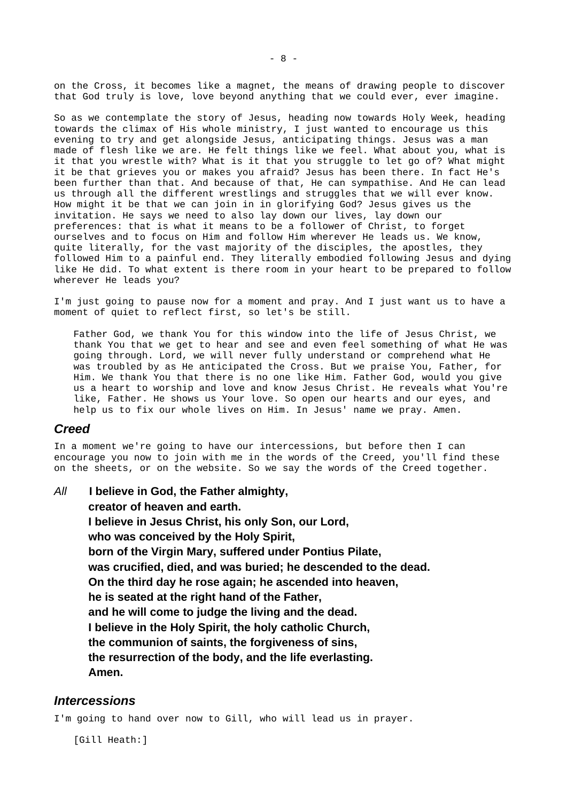on the Cross, it becomes like a magnet, the means of drawing people to discover that God truly is love, love beyond anything that we could ever, ever imagine.

So as we contemplate the story of Jesus, heading now towards Holy Week, heading towards the climax of His whole ministry, I just wanted to encourage us this evening to try and get alongside Jesus, anticipating things. Jesus was a man made of flesh like we are. He felt things like we feel. What about you, what is it that you wrestle with? What is it that you struggle to let go of? What might it be that grieves you or makes you afraid? Jesus has been there. In fact He's been further than that. And because of that, He can sympathise. And He can lead us through all the different wrestlings and struggles that we will ever know. How might it be that we can join in in glorifying God? Jesus gives us the invitation. He says we need to also lay down our lives, lay down our preferences: that is what it means to be a follower of Christ, to forget ourselves and to focus on Him and follow Him wherever He leads us. We know, quite literally, for the vast majority of the disciples, the apostles, they followed Him to a painful end. They literally embodied following Jesus and dying like He did. To what extent is there room in your heart to be prepared to follow wherever He leads you?

I'm just going to pause now for a moment and pray. And I just want us to have a moment of quiet to reflect first, so let's be still.

Father God, we thank You for this window into the life of Jesus Christ, we thank You that we get to hear and see and even feel something of what He was going through. Lord, we will never fully understand or comprehend what He was troubled by as He anticipated the Cross. But we praise You, Father, for Him. We thank You that there is no one like Him. Father God, would you give us a heart to worship and love and know Jesus Christ. He reveals what You're like, Father. He shows us Your love. So open our hearts and our eyes, and help us to fix our whole lives on Him. In Jesus' name we pray. Amen.

#### <span id="page-7-1"></span>*Creed*

In a moment we're going to have our intercessions, but before then I can encourage you now to join with me in the words of the Creed, you'll find these on the sheets, or on the website. So we say the words of the Creed together.

*All* **I believe in God, the Father almighty, creator of heaven and earth. I believe in Jesus Christ, his only Son, our Lord, who was conceived by the Holy Spirit, born of the Virgin Mary, suffered under Pontius Pilate, was crucified, died, and was buried; he descended to the dead. On the third day he rose again; he ascended into heaven, he is seated at the right hand of the Father, and he will come to judge the living and the dead. I believe in the Holy Spirit, the holy catholic Church, the communion of saints, the forgiveness of sins, the resurrection of the body, and the life everlasting. Amen.**

### <span id="page-7-0"></span>*Intercessions*

I'm going to hand over now to Gill, who will lead us in prayer.

[Gill Heath:]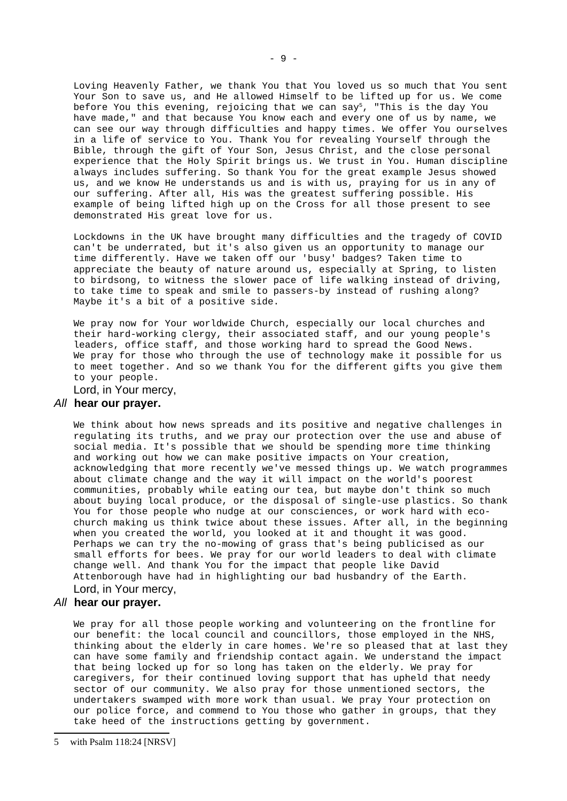Loving Heavenly Father, we thank You that You loved us so much that You sent Your Son to save us, and He allowed Himself to be lifted up for us. We come before You this evening, rejoicing that we can say<sup>[5](#page-8-0)</sup>, "This is the day You have made," and that because You know each and every one of us by name, we can see our way through difficulties and happy times. We offer You ourselves in a life of service to You. Thank You for revealing Yourself through the Bible, through the gift of Your Son, Jesus Christ, and the close personal experience that the Holy Spirit brings us. We trust in You. Human discipline always includes suffering. So thank You for the great example Jesus showed us, and we know He understands us and is with us, praying for us in any of our suffering. After all, His was the greatest suffering possible. His example of being lifted high up on the Cross for all those present to see demonstrated His great love for us.

Lockdowns in the UK have brought many difficulties and the tragedy of COVID can't be underrated, but it's also given us an opportunity to manage our time differently. Have we taken off our 'busy' badges? Taken time to appreciate the beauty of nature around us, especially at Spring, to listen to birdsong, to witness the slower pace of life walking instead of driving, to take time to speak and smile to passers-by instead of rushing along? Maybe it's a bit of a positive side.

We pray now for Your worldwide Church, especially our local churches and their hard-working clergy, their associated staff, and our young people's leaders, office staff, and those working hard to spread the Good News. We pray for those who through the use of technology make it possible for us to meet together. And so we thank You for the different gifts you give them to your people.

Lord, in Your mercy,

#### *All* **hear our prayer.**

We think about how news spreads and its positive and negative challenges in regulating its truths, and we pray our protection over the use and abuse of social media. It's possible that we should be spending more time thinking and working out how we can make positive impacts on Your creation, acknowledging that more recently we've messed things up. We watch programmes about climate change and the way it will impact on the world's poorest communities, probably while eating our tea, but maybe don't think so much about buying local produce, or the disposal of single-use plastics. So thank You for those people who nudge at our consciences, or work hard with ecochurch making us think twice about these issues. After all, in the beginning when you created the world, you looked at it and thought it was good. Perhaps we can try the no-mowing of grass that's being publicised as our small efforts for bees. We pray for our world leaders to deal with climate change well. And thank You for the impact that people like David Attenborough have had in highlighting our bad husbandry of the Earth. Lord, in Your mercy,

#### *All* **hear our prayer.**

We pray for all those people working and volunteering on the frontline for our benefit: the local council and councillors, those employed in the NHS, thinking about the elderly in care homes. We're so pleased that at last they can have some family and friendship contact again. We understand the impact that being locked up for so long has taken on the elderly. We pray for caregivers, for their continued loving support that has upheld that needy sector of our community. We also pray for those unmentioned sectors, the undertakers swamped with more work than usual. We pray Your protection on our police force, and commend to You those who gather in groups, that they take heed of the instructions getting by government.

<span id="page-8-0"></span><sup>5</sup> with Psalm 118:24 [NRSV]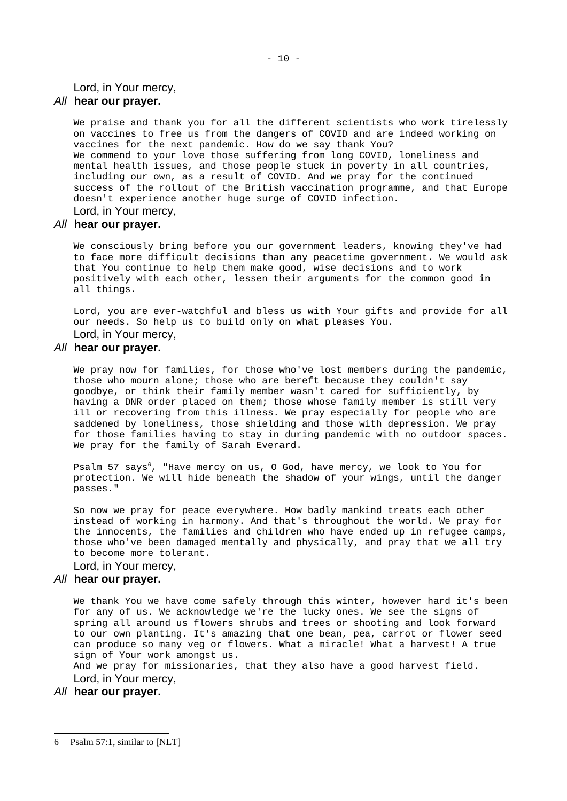Lord, in Your mercy,

### *All* **hear our prayer.**

We praise and thank you for all the different scientists who work tirelessly on vaccines to free us from the dangers of COVID and are indeed working on vaccines for the next pandemic. How do we say thank You? We commend to your love those suffering from long COVID, loneliness and mental health issues, and those people stuck in poverty in all countries, including our own, as a result of COVID. And we pray for the continued success of the rollout of the British vaccination programme, and that Europe doesn't experience another huge surge of COVID infection. Lord, in Your mercy,

#### *All* **hear our prayer.**

We consciously bring before you our government leaders, knowing they've had to face more difficult decisions than any peacetime government. We would ask that You continue to help them make good, wise decisions and to work positively with each other, lessen their arguments for the common good in all things.

Lord, you are ever-watchful and bless us with Your gifts and provide for all our needs. So help us to build only on what pleases You. Lord, in Your mercy,

## *All* **hear our prayer.**

We pray now for families, for those who've lost members during the pandemic, those who mourn alone; those who are bereft because they couldn't say goodbye, or think their family member wasn't cared for sufficiently, by having a DNR order placed on them; those whose family member is still very ill or recovering from this illness. We pray especially for people who are saddened by loneliness, those shielding and those with depression. We pray for those families having to stay in during pandemic with no outdoor spaces. We pray for the family of Sarah Everard.

Psalm 57 says<sup>[6](#page-9-0)</sup>, "Have mercy on us, 0 God, have mercy, we look to You for protection. We will hide beneath the shadow of your wings, until the danger passes."

So now we pray for peace everywhere. How badly mankind treats each other instead of working in harmony. And that's throughout the world. We pray for the innocents, the families and children who have ended up in refugee camps, those who've been damaged mentally and physically, and pray that we all try to become more tolerant.

Lord, in Your mercy,

#### *All* **hear our prayer.**

We thank You we have come safely through this winter, however hard it's been for any of us. We acknowledge we're the lucky ones. We see the signs of spring all around us flowers shrubs and trees or shooting and look forward to our own planting. It's amazing that one bean, pea, carrot or flower seed can produce so many veg or flowers. What a miracle! What a harvest! A true sign of Your work amongst us.

And we pray for missionaries, that they also have a good harvest field. Lord, in Your mercy,

### *All* **hear our prayer.**

<span id="page-9-0"></span><sup>6</sup> Psalm 57:1, similar to [NLT]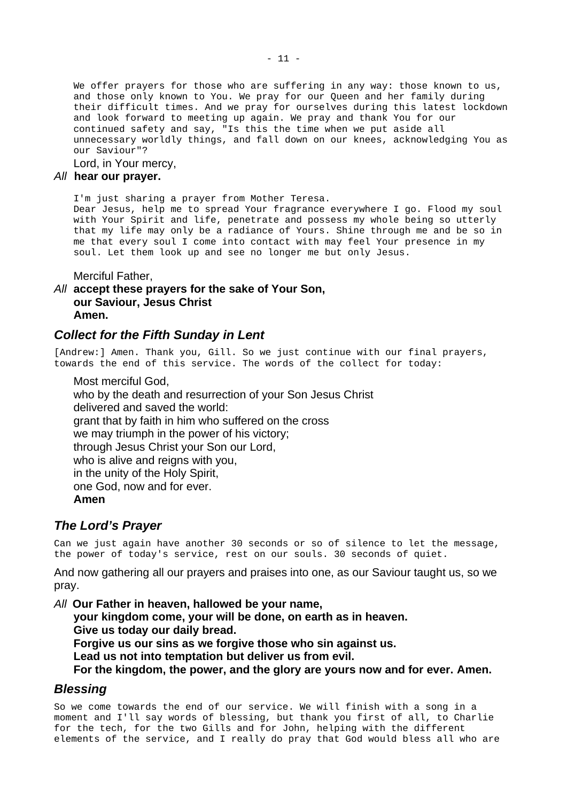We offer prayers for those who are suffering in any way: those known to us, and those only known to You. We pray for our Queen and her family during their difficult times. And we pray for ourselves during this latest lockdown and look forward to meeting up again. We pray and thank You for our continued safety and say, "Is this the time when we put aside all unnecessary worldly things, and fall down on our knees, acknowledging You as our Saviour"?

Lord, in Your mercy,

### *All* **hear our prayer.**

I'm just sharing a prayer from Mother Teresa. Dear Jesus, help me to spread Your fragrance everywhere I go. Flood my soul with Your Spirit and life, penetrate and possess my whole being so utterly that my life may only be a radiance of Yours. Shine through me and be so in me that every soul I come into contact with may feel Your presence in my soul. Let them look up and see no longer me but only Jesus.

Merciful Father,

## *All* **accept these prayers for the sake of Your Son, our Saviour, Jesus Christ Amen.**

## <span id="page-10-2"></span>*Collect for the Fifth Sunday in Lent*

[Andrew:] Amen. Thank you, Gill. So we just continue with our final prayers, towards the end of this service. The words of the collect for today:

Most merciful God, who by the death and resurrection of your Son Jesus Christ delivered and saved the world: grant that by faith in him who suffered on the cross we may triumph in the power of his victory; through Jesus Christ your Son our Lord, who is alive and reigns with you, in the unity of the Holy Spirit, one God, now and for ever. **Amen**

## <span id="page-10-1"></span>*The Lord's Prayer*

Can we just again have another 30 seconds or so of silence to let the message, the power of today's service, rest on our souls. 30 seconds of quiet.

And now gathering all our prayers and praises into one, as our Saviour taught us, so we pray.

*All* **Our Father in heaven, hallowed be your name,**

**your kingdom come, your will be done, on earth as in heaven. Give us today our daily bread. Forgive us our sins as we forgive those who sin against us. Lead us not into temptation but deliver us from evil. For the kingdom, the power, and the glory are yours now and for ever. Amen.**

## <span id="page-10-0"></span>*Blessing*

So we come towards the end of our service. We will finish with a song in a moment and I'll say words of blessing, but thank you first of all, to Charlie for the tech, for the two Gills and for John, helping with the different elements of the service, and I really do pray that God would bless all who are